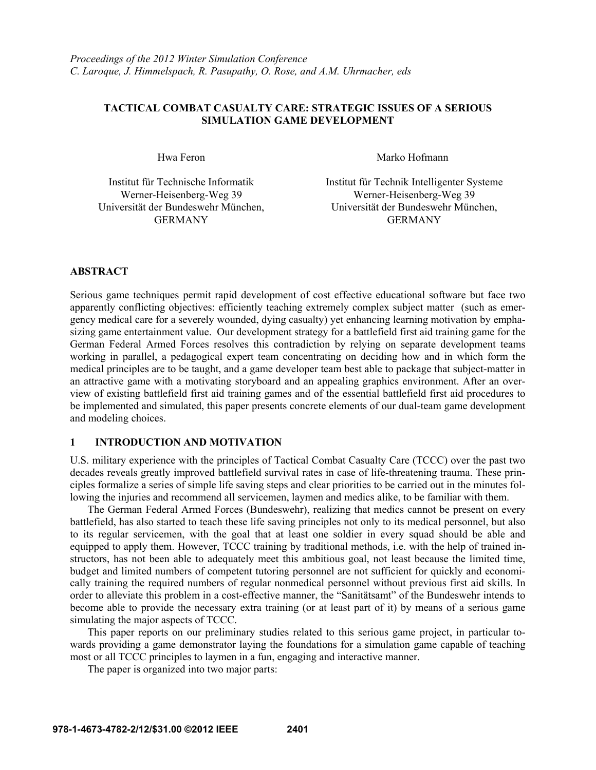### **TACTICAL COMBAT CASUALTY CARE: STRATEGIC ISSUES OF A SERIOUS SIMULATION GAME DEVELOPMENT**

Werner-Heisenberg-Weg 39 Universität der Bundeswehr München,

Hwa Feron Marko Hofmann

Institut für Technische Informatik Institut für Technik Intelligenter Systeme Werner-Heisenberg-Weg 39 Universität der Bundeswehr München, GERMANY GERMANY

#### **ABSTRACT**

Serious game techniques permit rapid development of cost effective educational software but face two apparently conflicting objectives: efficiently teaching extremely complex subject matter (such as emergency medical care for a severely wounded, dying casualty) yet enhancing learning motivation by emphasizing game entertainment value. Our development strategy for a battlefield first aid training game for the German Federal Armed Forces resolves this contradiction by relying on separate development teams working in parallel, a pedagogical expert team concentrating on deciding how and in which form the medical principles are to be taught, and a game developer team best able to package that subject-matter in an attractive game with a motivating storyboard and an appealing graphics environment. After an overview of existing battlefield first aid training games and of the essential battlefield first aid procedures to be implemented and simulated, this paper presents concrete elements of our dual-team game development and modeling choices.

#### **1 INTRODUCTION AND MOTIVATION**

U.S. military experience with the principles of Tactical Combat Casualty Care (TCCC) over the past two decades reveals greatly improved battlefield survival rates in case of life-threatening trauma. These principles formalize a series of simple life saving steps and clear priorities to be carried out in the minutes following the injuries and recommend all servicemen, laymen and medics alike, to be familiar with them.

 The German Federal Armed Forces (Bundeswehr), realizing that medics cannot be present on every battlefield, has also started to teach these life saving principles not only to its medical personnel, but also to its regular servicemen, with the goal that at least one soldier in every squad should be able and equipped to apply them. However, TCCC training by traditional methods, i.e. with the help of trained instructors, has not been able to adequately meet this ambitious goal, not least because the limited time, budget and limited numbers of competent tutoring personnel are not sufficient for quickly and economically training the required numbers of regular nonmedical personnel without previous first aid skills. In order to alleviate this problem in a cost-effective manner, the "Sanitätsamt" of the Bundeswehr intends to become able to provide the necessary extra training (or at least part of it) by means of a serious game simulating the major aspects of TCCC.

 This paper reports on our preliminary studies related to this serious game project, in particular towards providing a game demonstrator laying the foundations for a simulation game capable of teaching most or all TCCC principles to laymen in a fun, engaging and interactive manner.

The paper is organized into two major parts: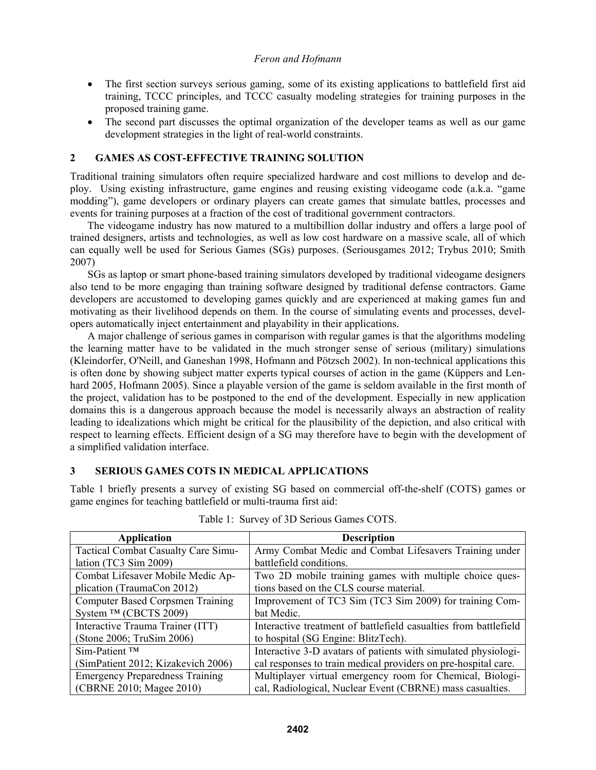- The first section surveys serious gaming, some of its existing applications to battlefield first aid training, TCCC principles, and TCCC casualty modeling strategies for training purposes in the proposed training game.
- The second part discusses the optimal organization of the developer teams as well as our game development strategies in the light of real-world constraints.

# **2 GAMES AS COST-EFFECTIVE TRAINING SOLUTION**

Traditional training simulators often require specialized hardware and cost millions to develop and deploy. Using existing infrastructure, game engines and reusing existing videogame code (a.k.a. "game modding"), game developers or ordinary players can create games that simulate battles, processes and events for training purposes at a fraction of the cost of traditional government contractors.

 The videogame industry has now matured to a multibillion dollar industry and offers a large pool of trained designers, artists and technologies, as well as low cost hardware on a massive scale, all of which can equally well be used for Serious Games (SGs) purposes. (Seriousgames 2012; Trybus 2010; Smith 2007)

 SGs as laptop or smart phone-based training simulators developed by traditional videogame designers also tend to be more engaging than training software designed by traditional defense contractors. Game developers are accustomed to developing games quickly and are experienced at making games fun and motivating as their livelihood depends on them. In the course of simulating events and processes, developers automatically inject entertainment and playability in their applications.

A major challenge of serious games in comparison with regular games is that the algorithms modeling the learning matter have to be validated in the much stronger sense of serious (military) simulations (Kleindorfer, O'Neill, and Ganeshan 1998, Hofmann and Pötzsch 2002). In non-technical applications this is often done by showing subject matter experts typical courses of action in the game (Küppers and Lenhard 2005, Hofmann 2005). Since a playable version of the game is seldom available in the first month of the project, validation has to be postponed to the end of the development. Especially in new application domains this is a dangerous approach because the model is necessarily always an abstraction of reality leading to idealizations which might be critical for the plausibility of the depiction, and also critical with respect to learning effects. Efficient design of a SG may therefore have to begin with the development of a simplified validation interface.

### **3 SERIOUS GAMES COTS IN MEDICAL APPLICATIONS**

Table 1 briefly presents a survey of existing SG based on commercial off-the-shelf (COTS) games or game engines for teaching battlefield or multi-trauma first aid:

| Application                                | <b>Description</b>                                               |
|--------------------------------------------|------------------------------------------------------------------|
| <b>Tactical Combat Casualty Care Simu-</b> | Army Combat Medic and Combat Lifesavers Training under           |
| lation $(TC3 Sim 2009)$                    | battlefield conditions.                                          |
| Combat Lifesaver Mobile Medic Ap-          | Two 2D mobile training games with multiple choice ques-          |
| plication (TraumaCon 2012)                 | tions based on the CLS course material.                          |
| <b>Computer Based Corpsmen Training</b>    | Improvement of TC3 Sim (TC3 Sim 2009) for training Com-          |
| System $TM$ (CBCTS 2009)                   | bat Medic.                                                       |
| Interactive Trauma Trainer (ITT)           | Interactive treatment of battlefield casualties from battlefield |
| (Stone 2006; TruSim 2006)                  | to hospital (SG Engine: BlitzTech).                              |
| Sim-Patient ™                              | Interactive 3-D avatars of patients with simulated physiologi-   |
| (SimPatient 2012; Kizakevich 2006)         | cal responses to train medical providers on pre-hospital care.   |
| <b>Emergency Preparedness Training</b>     | Multiplayer virtual emergency room for Chemical, Biologi-        |
| (CBRNE 2010; Magee 2010)                   | cal, Radiological, Nuclear Event (CBRNE) mass casualties.        |

| Table 1: Survey of 3D Serious Games COTS. |
|-------------------------------------------|
|-------------------------------------------|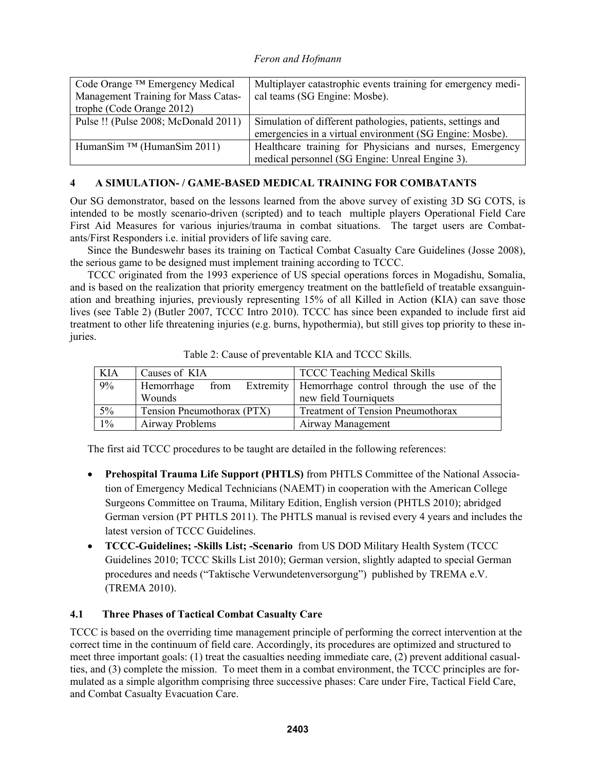| Code Orange $TM$ Emergency Medical   | Multiplayer catastrophic events training for emergency medi- |
|--------------------------------------|--------------------------------------------------------------|
| Management Training for Mass Catas-  | cal teams (SG Engine: Mosbe).                                |
| trophe (Code Orange 2012)            |                                                              |
| Pulse !! (Pulse 2008; McDonald 2011) | Simulation of different pathologies, patients, settings and  |
|                                      | emergencies in a virtual environment (SG Engine: Mosbe).     |
| HumanSim $TM$ (HumanSim 2011)        | Healthcare training for Physicians and nurses, Emergency     |
|                                      | medical personnel (SG Engine: Unreal Engine 3).              |

# **4 A SIMULATION- / GAME-BASED MEDICAL TRAINING FOR COMBATANTS**

Our SG demonstrator, based on the lessons learned from the above survey of existing 3D SG COTS, is intended to be mostly scenario-driven (scripted) and to teach multiple players Operational Field Care First Aid Measures for various injuries/trauma in combat situations. The target users are Combatants/First Responders i.e. initial providers of life saving care.

 Since the Bundeswehr bases its training on Tactical Combat Casualty Care Guidelines (Josse 2008), the serious game to be designed must implement training according to TCCC.

TCCC originated from the 1993 experience of US special operations forces in Mogadishu, Somalia, and is based on the realization that priority emergency treatment on the battlefield of treatable exsanguination and breathing injuries, previously representing 15% of all Killed in Action (KIA) can save those lives (see Table 2) (Butler 2007, TCCC Intro 2010). TCCC has since been expanded to include first aid treatment to other life threatening injuries (e.g. burns, hypothermia), but still gives top priority to these injuries.

| <b>KIA</b> | Causes of KIA                | <b>TCCC Teaching Medical Skills</b>                                            |
|------------|------------------------------|--------------------------------------------------------------------------------|
| 9%         | Hemorrhage<br>from<br>Wounds | Extremity   Hemorrhage control through the use of the<br>new field Tourniquets |
| 5%         | Tension Pneumothorax (PTX)   | <b>Treatment of Tension Pneumothorax</b>                                       |
| $1\%$      | Airway Problems              | Airway Management                                                              |

Table 2: Cause of preventable KIA and TCCC Skills.

The first aid TCCC procedures to be taught are detailed in the following references:

- **Prehospital Trauma Life Support (PHTLS)** from PHTLS Committee of the National Association of Emergency Medical Technicians (NAEMT) in cooperation with the American College Surgeons Committee on Trauma, Military Edition, English version (PHTLS 2010); abridged German version (PT PHTLS 2011). The PHTLS manual is revised every 4 years and includes the latest version of TCCC Guidelines.
- **TCCC-Guidelines; -Skills List; -Scenario** from US DOD Military Health System (TCCC Guidelines 2010; TCCC Skills List 2010); German version, slightly adapted to special German procedures and needs ("Taktische Verwundetenversorgung") published by TREMA e.V. (TREMA 2010).

# **4.1 Three Phases of Tactical Combat Casualty Care**

TCCC is based on the overriding time management principle of performing the correct intervention at the correct time in the continuum of field care. Accordingly, its procedures are optimized and structured to meet three important goals: (1) treat the casualties needing immediate care, (2) prevent additional casualties, and (3) complete the mission. To meet them in a combat environment, the TCCC principles are formulated as a simple algorithm comprising three successive phases: Care under Fire, Tactical Field Care, and Combat Casualty Evacuation Care.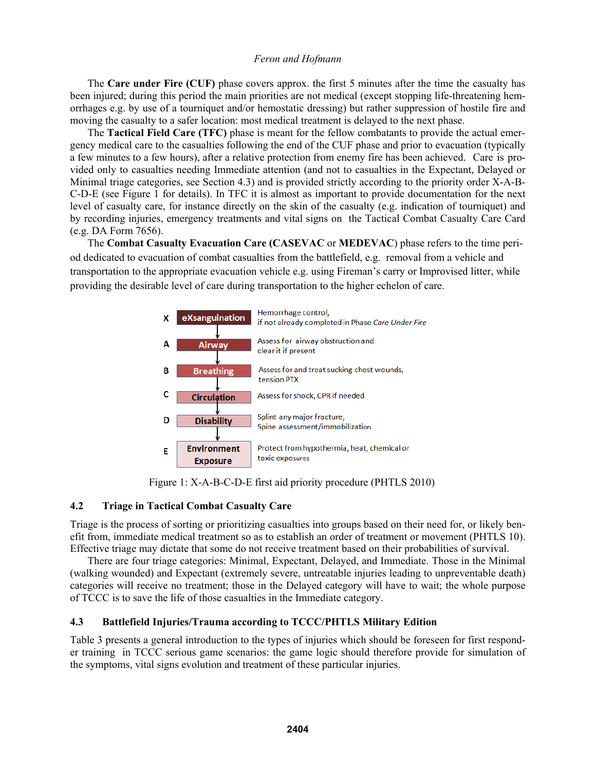The **Care under Fire (CUF)** phase covers approx. the first 5 minutes after the time the casualty has been injured; during this period the main priorities are not medical (except stopping life-threatening hemorrhages e.g. by use of a tourniquet and/or hemostatic dressing) but rather suppression of hostile fire and moving the casualty to a safer location: most medical treatment is delayed to the next phase.

 The **Tactical Field Care (TFC)** phase is meant for the fellow combatants to provide the actual emergency medical care to the casualties following the end of the CUF phase and prior to evacuation (typically a few minutes to a few hours), after a relative protection from enemy fire has been achieved. Care is provided only to casualties needing Immediate attention (and not to casualties in the Expectant, Delayed or Minimal triage categories, see Section 4.3) and is provided strictly according to the priority order X-A-B-C-D-E (see Figure 1 for details). In TFC it is almost as important to provide documentation for the next level of casualty care, for instance directly on the skin of the casualty (e.g. indication of tourniquet) and by recording injuries, emergency treatments and vital signs on the Tactical Combat Casualty Care Card (e.g. DA Form 7656).

The **Combat Casualty Evacuation Care (CASEVAC** or **MEDEVAC**) phase refers to the time period dedicated to evacuation of combat casualties from the battlefield, e.g. removal from a vehicle and transportation to the appropriate evacuation vehicle e.g. using Fireman's carry or Improvised litter, while providing the desirable level of care during transportation to the higher echelon of care.



Figure 1: X-A-B-C-D-E first aid priority procedure (PHTLS 2010)

### **4.2 Triage in Tactical Combat Casualty Care**

Triage is the process of sorting or prioritizing casualties into groups based on their need for, or likely benefit from, immediate medical treatment so as to establish an order of treatment or movement (PHTLS 10). Effective triage may dictate that some do not receive treatment based on their probabilities of survival.

 There are four triage categories: Minimal, Expectant, Delayed, and Immediate. Those in the Minimal (walking wounded) and Expectant (extremely severe, untreatable injuries leading to unpreventable death) categories will receive no treatment; those in the Delayed category will have to wait; the whole purpose of TCCC is to save the life of those casualties in the Immediate category.

### **4.3 Battlefield Injuries/Trauma according to TCCC/PHTLS Military Edition**

Table 3 presents a general introduction to the types of injuries which should be foreseen for first responder training in TCCC serious game scenarios: the game logic should therefore provide for simulation of the symptoms, vital signs evolution and treatment of these particular injuries.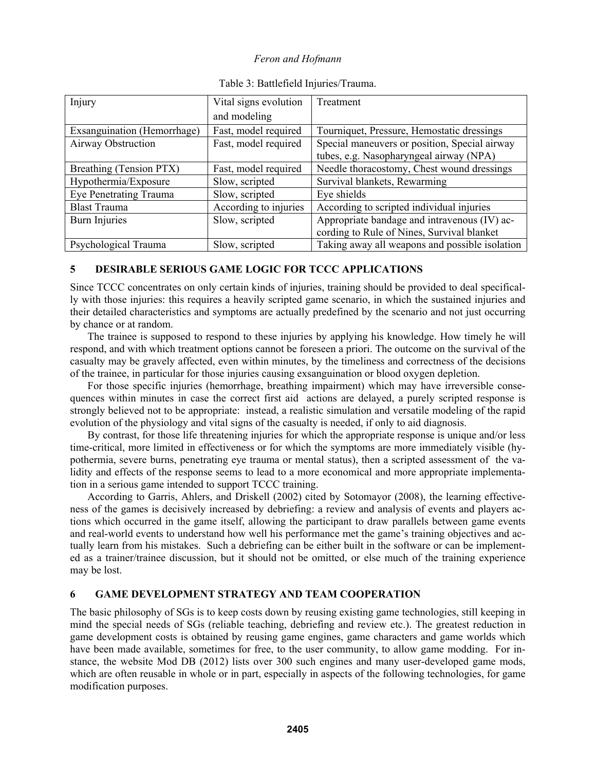| Injury                      | Vital signs evolution | Treatment                                      |
|-----------------------------|-----------------------|------------------------------------------------|
|                             | and modeling          |                                                |
| Exsanguination (Hemorrhage) | Fast, model required  | Tourniquet, Pressure, Hemostatic dressings     |
| Airway Obstruction          | Fast, model required  | Special maneuvers or position, Special airway  |
|                             |                       | tubes, e.g. Nasopharyngeal airway (NPA)        |
| Breathing (Tension PTX)     | Fast, model required  | Needle thoracostomy, Chest wound dressings     |
| Hypothermia/Exposure        | Slow, scripted        | Survival blankets, Rewarming                   |
| Eye Penetrating Trauma      | Slow, scripted        | Eye shields                                    |
| <b>Blast Trauma</b>         | According to injuries | According to scripted individual injuries      |
| <b>Burn Injuries</b>        | Slow, scripted        | Appropriate bandage and intravenous (IV) ac-   |
|                             |                       | cording to Rule of Nines, Survival blanket     |
| Psychological Trauma        | Slow, scripted        | Taking away all weapons and possible isolation |

#### Table 3: Battlefield Injuries/Trauma.

# **5 DESIRABLE SERIOUS GAME LOGIC FOR TCCC APPLICATIONS**

Since TCCC concentrates on only certain kinds of injuries, training should be provided to deal specifically with those injuries: this requires a heavily scripted game scenario, in which the sustained injuries and their detailed characteristics and symptoms are actually predefined by the scenario and not just occurring by chance or at random.

 The trainee is supposed to respond to these injuries by applying his knowledge. How timely he will respond, and with which treatment options cannot be foreseen a priori. The outcome on the survival of the casualty may be gravely affected, even within minutes, by the timeliness and correctness of the decisions of the trainee, in particular for those injuries causing exsanguination or blood oxygen depletion.

 For those specific injuries (hemorrhage, breathing impairment) which may have irreversible consequences within minutes in case the correct first aid actions are delayed, a purely scripted response is strongly believed not to be appropriate: instead, a realistic simulation and versatile modeling of the rapid evolution of the physiology and vital signs of the casualty is needed, if only to aid diagnosis.

 By contrast, for those life threatening injuries for which the appropriate response is unique and/or less time-critical, more limited in effectiveness or for which the symptoms are more immediately visible (hypothermia, severe burns, penetrating eye trauma or mental status), then a scripted assessment of the validity and effects of the response seems to lead to a more economical and more appropriate implementation in a serious game intended to support TCCC training.

 According to Garris, Ahlers, and Driskell (2002) cited by Sotomayor (2008), the learning effectiveness of the games is decisively increased by debriefing: a review and analysis of events and players actions which occurred in the game itself, allowing the participant to draw parallels between game events and real-world events to understand how well his performance met the game's training objectives and actually learn from his mistakes. Such a debriefing can be either built in the software or can be implemented as a trainer/trainee discussion, but it should not be omitted, or else much of the training experience may be lost.

### **6 GAME DEVELOPMENT STRATEGY AND TEAM COOPERATION**

The basic philosophy of SGs is to keep costs down by reusing existing game technologies, still keeping in mind the special needs of SGs (reliable teaching, debriefing and review etc.). The greatest reduction in game development costs is obtained by reusing game engines, game characters and game worlds which have been made available, sometimes for free, to the user community, to allow game modding. For instance, the website Mod DB (2012) lists over 300 such engines and many user-developed game mods, which are often reusable in whole or in part, especially in aspects of the following technologies, for game modification purposes.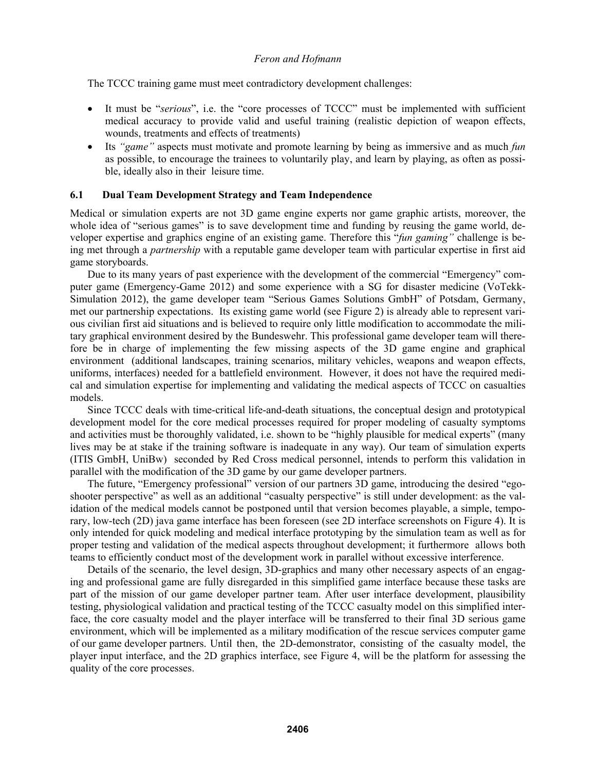The TCCC training game must meet contradictory development challenges:

- It must be "*serious*", i.e. the "core processes of TCCC" must be implemented with sufficient medical accuracy to provide valid and useful training (realistic depiction of weapon effects, wounds, treatments and effects of treatments)
- Its *"game"* aspects must motivate and promote learning by being as immersive and as much *fun* as possible, to encourage the trainees to voluntarily play, and learn by playing, as often as possible, ideally also in their leisure time.

#### **6.1 Dual Team Development Strategy and Team Independence**

Medical or simulation experts are not 3D game engine experts nor game graphic artists, moreover, the whole idea of "serious games" is to save development time and funding by reusing the game world, developer expertise and graphics engine of an existing game. Therefore this "*fun gaming"* challenge is being met through a *partnership* with a reputable game developer team with particular expertise in first aid game storyboards.

Due to its many years of past experience with the development of the commercial "Emergency" computer game (Emergency-Game 2012) and some experience with a SG for disaster medicine (VoTekk-Simulation 2012), the game developer team "Serious Games Solutions GmbH" of Potsdam, Germany, met our partnership expectations. Its existing game world (see Figure 2) is already able to represent various civilian first aid situations and is believed to require only little modification to accommodate the military graphical environment desired by the Bundeswehr. This professional game developer team will therefore be in charge of implementing the few missing aspects of the 3D game engine and graphical environment (additional landscapes, training scenarios, military vehicles, weapons and weapon effects, uniforms, interfaces) needed for a battlefield environment. However, it does not have the required medical and simulation expertise for implementing and validating the medical aspects of TCCC on casualties models.

 Since TCCC deals with time-critical life-and-death situations, the conceptual design and prototypical development model for the core medical processes required for proper modeling of casualty symptoms and activities must be thoroughly validated, i.e. shown to be "highly plausible for medical experts" (many lives may be at stake if the training software is inadequate in any way). Our team of simulation experts (ITIS GmbH, UniBw) seconded by Red Cross medical personnel, intends to perform this validation in parallel with the modification of the 3D game by our game developer partners.

 The future, "Emergency professional" version of our partners 3D game, introducing the desired "egoshooter perspective" as well as an additional "casualty perspective" is still under development: as the validation of the medical models cannot be postponed until that version becomes playable, a simple, temporary, low-tech (2D) java game interface has been foreseen (see 2D interface screenshots on Figure 4). It is only intended for quick modeling and medical interface prototyping by the simulation team as well as for proper testing and validation of the medical aspects throughout development; it furthermore allows both teams to efficiently conduct most of the development work in parallel without excessive interference.

 Details of the scenario, the level design, 3D-graphics and many other necessary aspects of an engaging and professional game are fully disregarded in this simplified game interface because these tasks are part of the mission of our game developer partner team. After user interface development, plausibility testing, physiological validation and practical testing of the TCCC casualty model on this simplified interface, the core casualty model and the player interface will be transferred to their final 3D serious game environment, which will be implemented as a military modification of the rescue services computer game of our game developer partners. Until then, the 2D-demonstrator, consisting of the casualty model, the player input interface, and the 2D graphics interface, see Figure 4, will be the platform for assessing the quality of the core processes.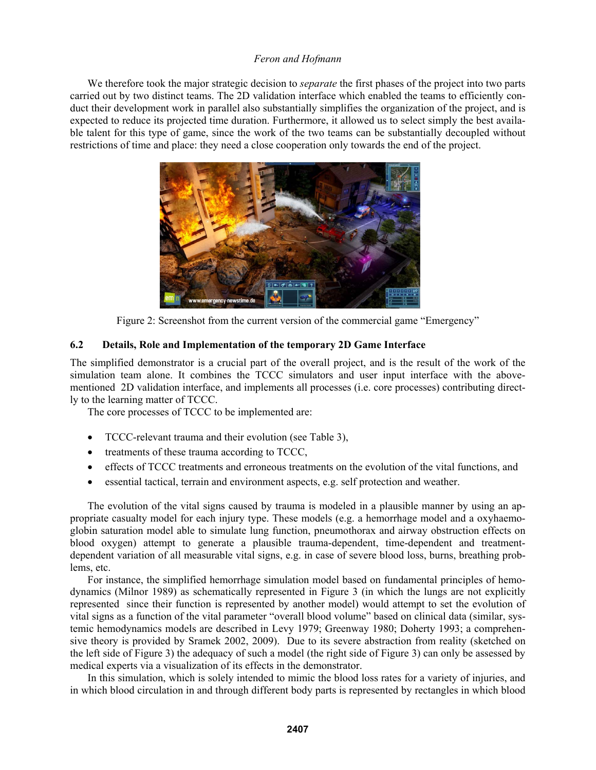We therefore took the major strategic decision to *separate* the first phases of the project into two parts carried out by two distinct teams. The 2D validation interface which enabled the teams to efficiently conduct their development work in parallel also substantially simplifies the organization of the project, and is expected to reduce its projected time duration. Furthermore, it allowed us to select simply the best available talent for this type of game, since the work of the two teams can be substantially decoupled without restrictions of time and place: they need a close cooperation only towards the end of the project.



Figure 2: Screenshot from the current version of the commercial game "Emergency"

# **6.2 Details, Role and Implementation of the temporary 2D Game Interface**

The simplified demonstrator is a crucial part of the overall project, and is the result of the work of the simulation team alone. It combines the TCCC simulators and user input interface with the abovementioned 2D validation interface, and implements all processes (i.e. core processes) contributing directly to the learning matter of TCCC.

The core processes of TCCC to be implemented are:

- TCCC-relevant trauma and their evolution (see Table 3),
- treatments of these trauma according to TCCC,
- effects of TCCC treatments and erroneous treatments on the evolution of the vital functions, and
- essential tactical, terrain and environment aspects, e.g. self protection and weather.

The evolution of the vital signs caused by trauma is modeled in a plausible manner by using an appropriate casualty model for each injury type. These models (e.g. a hemorrhage model and a oxyhaemoglobin saturation model able to simulate lung function, pneumothorax and airway obstruction effects on blood oxygen) attempt to generate a plausible trauma-dependent, time-dependent and treatmentdependent variation of all measurable vital signs, e.g. in case of severe blood loss, burns, breathing problems, etc.

For instance, the simplified hemorrhage simulation model based on fundamental principles of hemodynamics (Milnor 1989) as schematically represented in Figure 3 (in which the lungs are not explicitly represented since their function is represented by another model) would attempt to set the evolution of vital signs as a function of the vital parameter "overall blood volume" based on clinical data (similar, systemic hemodynamics models are described in Levy 1979; Greenway 1980; Doherty 1993; a comprehensive theory is provided by Sramek 2002, 2009). Due to its severe abstraction from reality (sketched on the left side of Figure 3) the adequacy of such a model (the right side of Figure 3) can only be assessed by medical experts via a visualization of its effects in the demonstrator.

In this simulation, which is solely intended to mimic the blood loss rates for a variety of injuries, and in which blood circulation in and through different body parts is represented by rectangles in which blood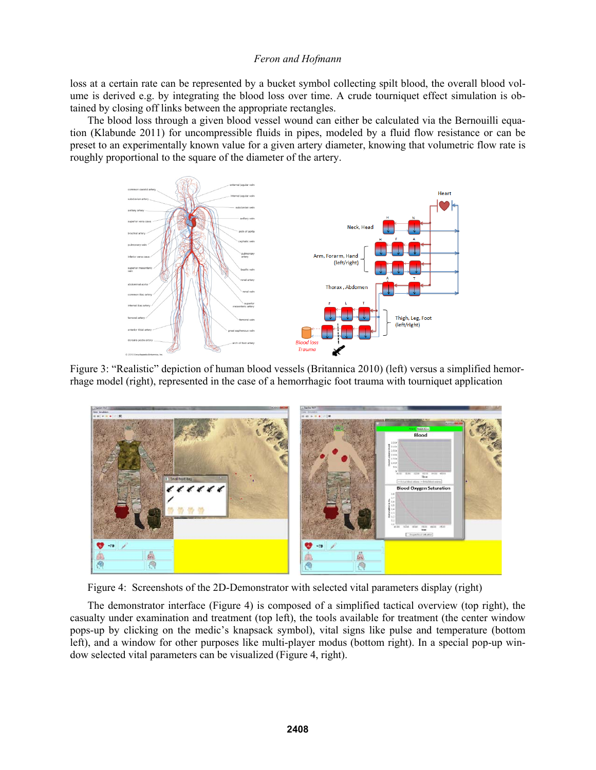loss at a certain rate can be represented by a bucket symbol collecting spilt blood, the overall blood volume is derived e.g. by integrating the blood loss over time. A crude tourniquet effect simulation is obtained by closing off links between the appropriate rectangles.

The blood loss through a given blood vessel wound can either be calculated via the Bernouilli equation (Klabunde 2011) for uncompressible fluids in pipes, modeled by a fluid flow resistance or can be preset to an experimentally known value for a given artery diameter, knowing that volumetric flow rate is roughly proportional to the square of the diameter of the artery.



Figure 3: "Realistic" depiction of human blood vessels (Britannica 2010) (left) versus a simplified hemorrhage model (right), represented in the case of a hemorrhagic foot trauma with tourniquet application



Figure 4: Screenshots of the 2D-Demonstrator with selected vital parameters display (right)

 The demonstrator interface (Figure 4) is composed of a simplified tactical overview (top right), the casualty under examination and treatment (top left), the tools available for treatment (the center window pops-up by clicking on the medic's knapsack symbol), vital signs like pulse and temperature (bottom left), and a window for other purposes like multi-player modus (bottom right). In a special pop-up window selected vital parameters can be visualized (Figure 4, right).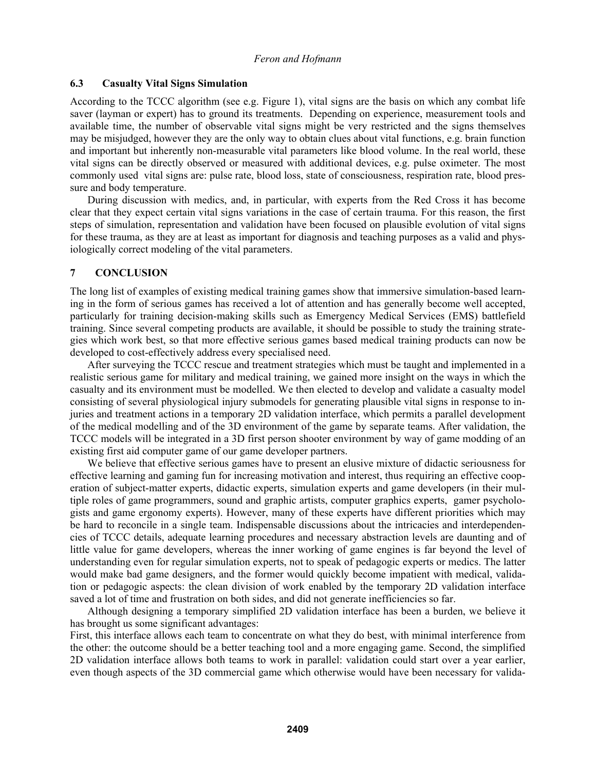#### **6.3 Casualty Vital Signs Simulation**

According to the TCCC algorithm (see e.g. Figure 1), vital signs are the basis on which any combat life saver (layman or expert) has to ground its treatments. Depending on experience, measurement tools and available time, the number of observable vital signs might be very restricted and the signs themselves may be misjudged, however they are the only way to obtain clues about vital functions, e.g. brain function and important but inherently non-measurable vital parameters like blood volume. In the real world, these vital signs can be directly observed or measured with additional devices, e.g. pulse oximeter. The most commonly used vital signs are: pulse rate, blood loss, state of consciousness, respiration rate, blood pressure and body temperature.

 During discussion with medics, and, in particular, with experts from the Red Cross it has become clear that they expect certain vital signs variations in the case of certain trauma. For this reason, the first steps of simulation, representation and validation have been focused on plausible evolution of vital signs for these trauma, as they are at least as important for diagnosis and teaching purposes as a valid and physiologically correct modeling of the vital parameters.

### **7 CONCLUSION**

The long list of examples of existing medical training games show that immersive simulation-based learning in the form of serious games has received a lot of attention and has generally become well accepted, particularly for training decision-making skills such as Emergency Medical Services (EMS) battlefield training. Since several competing products are available, it should be possible to study the training strategies which work best, so that more effective serious games based medical training products can now be developed to cost-effectively address every specialised need.

 After surveying the TCCC rescue and treatment strategies which must be taught and implemented in a realistic serious game for military and medical training, we gained more insight on the ways in which the casualty and its environment must be modelled. We then elected to develop and validate a casualty model consisting of several physiological injury submodels for generating plausible vital signs in response to injuries and treatment actions in a temporary 2D validation interface, which permits a parallel development of the medical modelling and of the 3D environment of the game by separate teams. After validation, the TCCC models will be integrated in a 3D first person shooter environment by way of game modding of an existing first aid computer game of our game developer partners.

 We believe that effective serious games have to present an elusive mixture of didactic seriousness for effective learning and gaming fun for increasing motivation and interest, thus requiring an effective cooperation of subject-matter experts, didactic experts, simulation experts and game developers (in their multiple roles of game programmers, sound and graphic artists, computer graphics experts, gamer psychologists and game ergonomy experts). However, many of these experts have different priorities which may be hard to reconcile in a single team. Indispensable discussions about the intricacies and interdependencies of TCCC details, adequate learning procedures and necessary abstraction levels are daunting and of little value for game developers, whereas the inner working of game engines is far beyond the level of understanding even for regular simulation experts, not to speak of pedagogic experts or medics. The latter would make bad game designers, and the former would quickly become impatient with medical, validation or pedagogic aspects: the clean division of work enabled by the temporary 2D validation interface saved a lot of time and frustration on both sides, and did not generate inefficiencies so far.

 Although designing a temporary simplified 2D validation interface has been a burden, we believe it has brought us some significant advantages:

First, this interface allows each team to concentrate on what they do best, with minimal interference from the other: the outcome should be a better teaching tool and a more engaging game. Second, the simplified 2D validation interface allows both teams to work in parallel: validation could start over a year earlier, even though aspects of the 3D commercial game which otherwise would have been necessary for valida-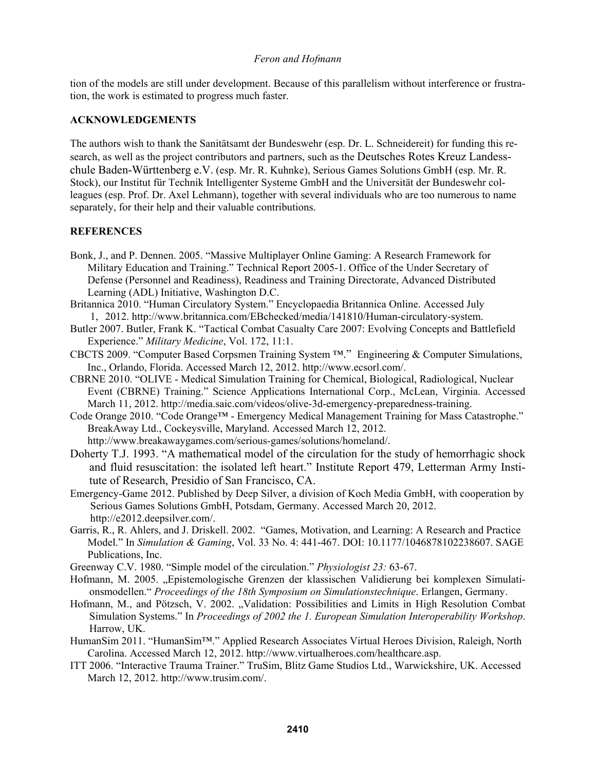tion of the models are still under development. Because of this parallelism without interference or frustration, the work is estimated to progress much faster.

### **ACKNOWLEDGEMENTS**

The authors wish to thank the Sanitätsamt der Bundeswehr (esp. Dr. L. Schneidereit) for funding this research, as well as the project contributors and partners, such as the Deutsches Rotes Kreuz Landesschule Baden-Württenberg e.V. (esp. Mr. R. Kuhnke), Serious Games Solutions GmbH (esp. Mr. R. Stock), our Institut für Technik Intelligenter Systeme GmbH and the Universität der Bundeswehr colleagues (esp. Prof. Dr. Axel Lehmann), together with several individuals who are too numerous to name separately, for their help and their valuable contributions.

#### **REFERENCES**

- Bonk, J., and P. Dennen. 2005. "Massive Multiplayer Online Gaming: A Research Framework for Military Education and Training." Technical Report 2005-1. Office of the Under Secretary of Defense (Personnel and Readiness), Readiness and Training Directorate, Advanced Distributed Learning (ADL) Initiative, Washington D.C.
- Britannica 2010. "Human Circulatory System." Encyclopaedia Britannica Online. Accessed July 1, 2012. http://www.britannica.com/EBchecked/media/141810/Human-circulatory-system.
- Butler 2007. Butler, Frank K. "Tactical Combat Casualty Care 2007: Evolving Concepts and Battlefield Experience." *Military Medicine*, Vol. 172, 11:1.
- CBCTS 2009. "Computer Based Corpsmen Training System ™." Engineering & Computer Simulations, Inc., Orlando, Florida. Accessed March 12, 2012. http://www.ecsorl.com/.
- CBRNE 2010. "OLIVE Medical Simulation Training for Chemical, Biological, Radiological, Nuclear Event (CBRNE) Training." Science Applications International Corp., McLean, Virginia. Accessed March 11, 2012. http://media.saic.com/videos/olive-3d-emergency-preparedness-training.
- Code Orange 2010. "Code Orange™ Emergency Medical Management Training for Mass Catastrophe." BreakAway Ltd., Cockeysville, Maryland. Accessed March 12, 2012. http://www.breakawaygames.com/serious-games/solutions/homeland/.
- Doherty T.J. 1993. "A mathematical model of the circulation for the study of hemorrhagic shock and fluid resuscitation: the isolated left heart." Institute Report 479, Letterman Army Institute of Research, Presidio of San Francisco, CA.
- Emergency-Game 2012. Published by Deep Silver, a division of Koch Media GmbH, with cooperation by Serious Games Solutions GmbH, Potsdam, Germany. Accessed March 20, 2012. http://e2012.deepsilver.com/.
- Garris, R., R. Ahlers, and J. Driskell. 2002. "Games, Motivation, and Learning: A Research and Practice Model." In *Simulation & Gaming*, Vol. 33 No. 4: 441-467. DOI: 10.1177/1046878102238607. SAGE Publications, Inc.
- Greenway C.V. 1980. "Simple model of the circulation." *Physiologist 23:* 63-67.
- Hofmann, M. 2005. "Epistemologische Grenzen der klassischen Validierung bei komplexen Simulationsmodellen." *Proceedings of the 18th Symposium on Simulationstechnique*. Erlangen, Germany.
- Hofmann, M., and Pötzsch, V. 2002. "Validation: Possibilities and Limits in High Resolution Combat Simulation Systems." In *Proceedings of 2002 the 1. European Simulation Interoperability Workshop*. Harrow, UK.
- HumanSim 2011. "HumanSim™." Applied Research Associates Virtual Heroes Division, Raleigh, North Carolina. Accessed March 12, 2012. http://www.virtualheroes.com/healthcare.asp.
- ITT 2006. "Interactive Trauma Trainer." TruSim, Blitz Game Studios Ltd., Warwickshire, UK. Accessed March 12, 2012. http://www.trusim.com/.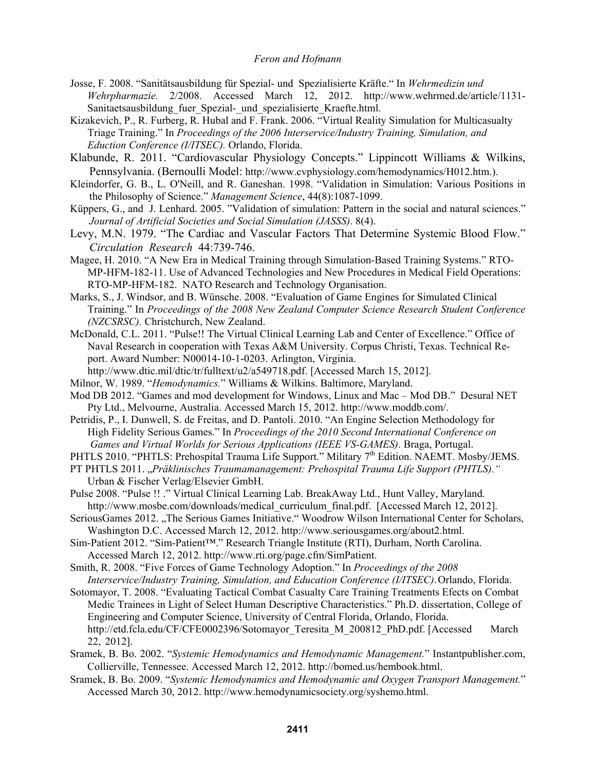- Josse, F. 2008. "Sanitätsausbildung für Spezial- und Spezialisierte Kräfte." In *Wehrmedizin und Wehrpharmazie.* 2/2008. Accessed March 12, 2012. http://www.wehrmed.de/article/1131- Sanitaetsausbildung fuer Spezial- und spezialisierte Kraefte.html.
- Kizakevich, P., R. Furberg, R. Hubal and F. Frank. 2006. "Virtual Reality Simulation for Multicasualty Triage Training." In *Proceedings of the 2006 Interservice/Industry Training, Simulation, and Eduction Conference (I/ITSEC).* Orlando, Florida.
- Klabunde, R. 2011. "Cardiovascular Physiology Concepts." Lippincott Williams & Wilkins, Pennsylvania. (Bernoulli Model: http://www.cvphysiology.com/hemodynamics/H012.htm.).
- Kleindorfer, G. B., L. O'Neill, and R. Ganeshan. 1998. "Validation in Simulation: Various Positions in the Philosophy of Science." *Management Science*, 44(8):1087-1099.
- Küppers, G., and J. Lenhard. 2005. "Validation of simulation: Pattern in the social and natural sciences." *Journal of Artificial Societies and Social Simulation (JASSS)*. 8(4).
- Levy, M.N. 1979. "The Cardiac and Vascular Factors That Determine Systemic Blood Flow." *Circulation Research* 44:739-746.
- Magee, H. 2010. "A New Era in Medical Training through Simulation-Based Training Systems." RTO- MP-HFM-182-11. Use of Advanced Technologies and New Procedures in Medical Field Operations: RTO-MP-HFM-182. NATO Research and Technology Organisation.
- Marks, S., J. Windsor, and B. Wünsche. 2008. "Evaluation of Game Engines for Simulated Clinical Training." In *Proceedings of the 2008 New Zealand Computer Science Research Student Conference (NZCSRSC).* Christchurch, New Zealand.
- McDonald, C.L. 2011. "Pulse!! The Virtual Clinical Learning Lab and Center of Excellence." Office of Naval Research in cooperation with Texas A&M University. Corpus Christi, Texas. Technical Report. Award Number: N00014-10-1-0203. Arlington, Virginia.
- http://www.dtic.mil/dtic/tr/fulltext/u2/a549718.pdf. [Accessed March 15, 2012].
- Milnor, W. 1989. "*Hemodynamics.*" Williams & Wilkins. Baltimore, Maryland.
- Mod DB 2012. "Games and mod development for Windows, Linux and Mac Mod DB." Desural NET Pty Ltd., Melvourne, Australia. Accessed March 15, 2012. http://www.moddb.com/.
- Petridis, P., I. Dunwell, S. de Freitas, and D. Pantoli. 2010. "An Engine Selection Methodology for High Fidelity Serious Games." In *Proceedings of the 2010 Second International Conference on Games and Virtual Worlds for Serious Applications (IEEE VS-GAMES)*. Braga, Portugal.
- PHTLS 2010. "PHTLS: Prehospital Trauma Life Support." Military 7<sup>th</sup> Edition. NAEMT. Mosby/JEMS.
- PT PHTLS 2011. "Präklinisches Traumamanagement: Prehospital Trauma Life Support (PHTLS)." Urban & Fischer Verlag/Elsevier GmbH.
- Pulse 2008. "Pulse !! ." Virtual Clinical Learning Lab. BreakAway Ltd., Hunt Valley, Maryland. http://www.mosbe.com/downloads/medical\_curriculum\_final.pdf. [Accessed March 12, 2012].
- SeriousGames 2012. "The Serious Games Initiative." Woodrow Wilson International Center for Scholars, Washington D.C. Accessed March 12, 2012. http://www.seriousgames.org/about2.html.
- Sim-Patient 2012. "Sim-Patient™." Research Triangle Institute (RTI), Durham, North Carolina. Accessed March 12, 2012. http://www.rti.org/page.cfm/SimPatient.
- Smith, R. 2008. "Five Forces of Game Technology Adoption." In *Proceedings of the 2008 Interservice/Industry Training, Simulation, and Education Conference (I/ITSEC)*. Orlando, Florida.
- Sotomayor, T. 2008. "Evaluating Tactical Combat Casualty Care Training Treatments Efects on Combat Medic Trainees in Light of Select Human Descriptive Characteristics." Ph.D. dissertation, College of Engineering and Computer Science, University of Central Florida, Orlando, Florida. http://etd.fcla.edu/CF/CFE0002396/Sotomayor\_Teresita\_M\_200812\_PhD.pdf. [Accessed March 22, 2012].
- Sramek, B. Bo. 2002. "*Systemic Hemodynamics and Hemodynamic Management.*" Instantpublisher.com, Collierville, Tennessee. Accessed March 12, 2012. http://bomed.us/hembook.html.
- Sramek, B. Bo. 2009. "*Systemic Hemodynamics and Hemodynamic and Oxygen Transport Management.*" Accessed March 30, 2012. http://www.hemodynamicsociety.org/syshemo.html.